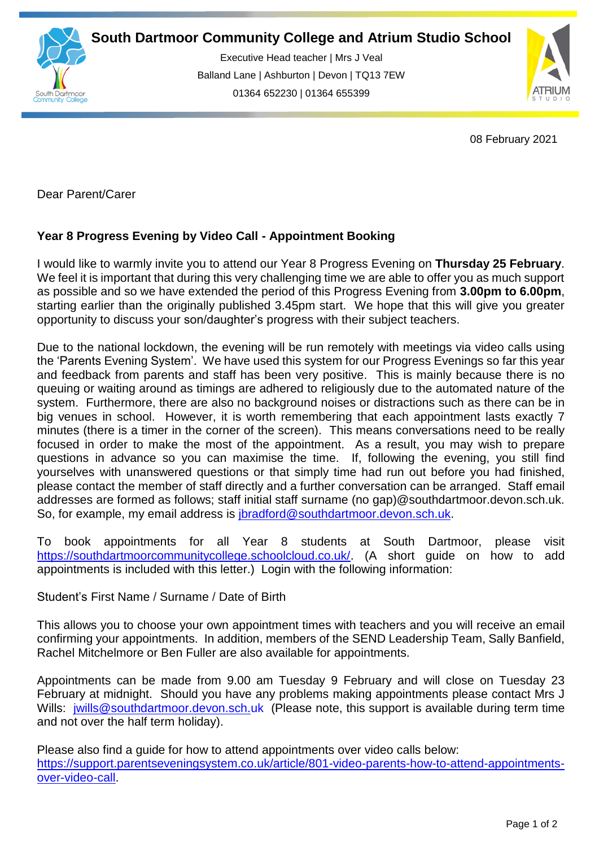

Executive Head teacher | Mrs J Veal Balland Lane | Ashburton | Devon | TQ13 7EW 01364 652230 | 01364 655399

ww.south.co.uk | [www.atrium-studio.co.uk](http://www.atrium-studio.co.uk/) | www.atrium-studio.co.uk



08 February 2021

Dear Parent/Carer

## **Year 8 Progress Evening by Video Call - Appointment Booking**

I would like to warmly invite you to attend our Year 8 Progress Evening on **Thursday 25 February**. We feel it is important that during this very challenging time we are able to offer you as much support as possible and so we have extended the period of this Progress Evening from **3.00pm to 6.00pm**, starting earlier than the originally published 3.45pm start. We hope that this will give you greater opportunity to discuss your son/daughter's progress with their subject teachers.

Due to the national lockdown, the evening will be run remotely with meetings via video calls using the 'Parents Evening System'. We have used this system for our Progress Evenings so far this year and feedback from parents and staff has been very positive. This is mainly because there is no queuing or waiting around as timings are adhered to religiously due to the automated nature of the system. Furthermore, there are also no background noises or distractions such as there can be in big venues in school. However, it is worth remembering that each appointment lasts exactly 7 minutes (there is a timer in the corner of the screen). This means conversations need to be really focused in order to make the most of the appointment. As a result, you may wish to prepare questions in advance so you can maximise the time. If, following the evening, you still find yourselves with unanswered questions or that simply time had run out before you had finished, please contact the member of staff directly and a further conversation can be arranged. Staff email addresses are formed as follows; staff initial staff surname (no gap)@southdartmoor.devon.sch.uk. So, for example, my email address is [jbradford@southdartmoor.devon.sch.uk.](mailto:jbradford@southdartmoor.devon.sch.uk)

To book appointments for all Year 8 students at South Dartmoor, please visit [https://southdartmoorcommunitycollege.schoolcloud.co.uk/.](https://southdartmoorcommunitycollege.schoolcloud.co.uk/) (A short guide on how to add appointments is included with this letter.) Login with the following information:

Student's First Name / Surname / Date of Birth

This allows you to choose your own appointment times with teachers and you will receive an email confirming your appointments. In addition, members of the SEND Leadership Team, Sally Banfield, Rachel Mitchelmore or Ben Fuller are also available for appointments.

Appointments can be made from 9.00 am Tuesday 9 February and will close on Tuesday 23 February at midnight. Should you have any problems making appointments please contact Mrs J Wills: [jwills@southdartmoor.devon.sch.uk](mailto:jwills@southdartmoor.devon.sch.uk) (Please note, this support is available during term time and not over the half term holiday).

Please also find a guide for how to attend appointments over video calls below: [https://support.parentseveningsystem.co.uk/article/801-video-parents-how-to-attend-appointments](https://support.parentseveningsystem.co.uk/article/801-video-parents-how-to-attend-appointments-over-video-call)[over-video-call.](https://support.parentseveningsystem.co.uk/article/801-video-parents-how-to-attend-appointments-over-video-call)